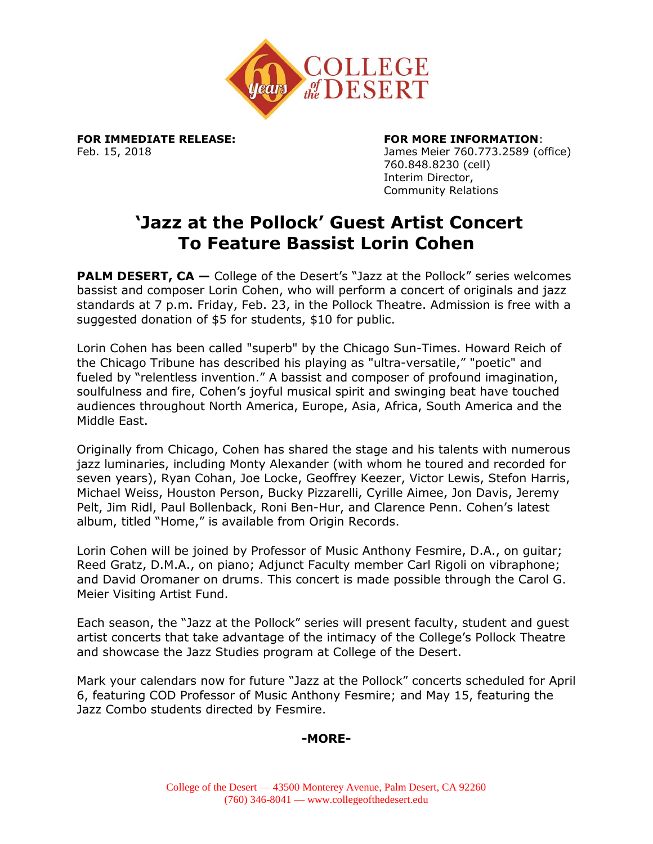

## **FOR IMMEDIATE RELEASE: FOR MORE INFORMATION**:

Feb. 15, 2018 James Meier 760.773.2589 (office) 760.848.8230 (cell) Interim Director, Community Relations

# **'Jazz at the Pollock' Guest Artist Concert To Feature Bassist Lorin Cohen**

**PALM DESERT, CA** – College of the Desert's "Jazz at the Pollock" series welcomes bassist and composer Lorin Cohen, who will perform a concert of originals and jazz standards at 7 p.m. Friday, Feb. 23, in the Pollock Theatre. Admission is free with a suggested donation of \$5 for students, \$10 for public.

Lorin Cohen has been called "superb" by the Chicago Sun-Times. Howard Reich of the Chicago Tribune has described his playing as "ultra-versatile," "poetic" and fueled by "relentless invention." A bassist and composer of profound imagination, soulfulness and fire, Cohen's joyful musical spirit and swinging beat have touched audiences throughout North America, Europe, Asia, Africa, South America and the Middle East.

Originally from Chicago, Cohen has shared the stage and his talents with numerous jazz luminaries, including Monty Alexander (with whom he toured and recorded for seven years), Ryan Cohan, Joe Locke, Geoffrey Keezer, Victor Lewis, Stefon Harris, Michael Weiss, Houston Person, Bucky Pizzarelli, Cyrille Aimee, Jon Davis, Jeremy Pelt, Jim Ridl, Paul Bollenback, Roni Ben-Hur, and Clarence Penn. Cohen's latest album, titled "Home," is available from Origin Records.

Lorin Cohen will be joined by Professor of Music Anthony Fesmire, D.A., on guitar; Reed Gratz, D.M.A., on piano; Adjunct Faculty member Carl Rigoli on vibraphone; and David Oromaner on drums. This concert is made possible through the Carol G. Meier Visiting Artist Fund.

Each season, the "Jazz at the Pollock" series will present faculty, student and guest artist concerts that take advantage of the intimacy of the College's Pollock Theatre and showcase the Jazz Studies program at College of the Desert.

Mark your calendars now for future "Jazz at the Pollock" concerts scheduled for April 6, featuring COD Professor of Music Anthony Fesmire; and May 15, featuring the Jazz Combo students directed by Fesmire.

## **-MORE-**